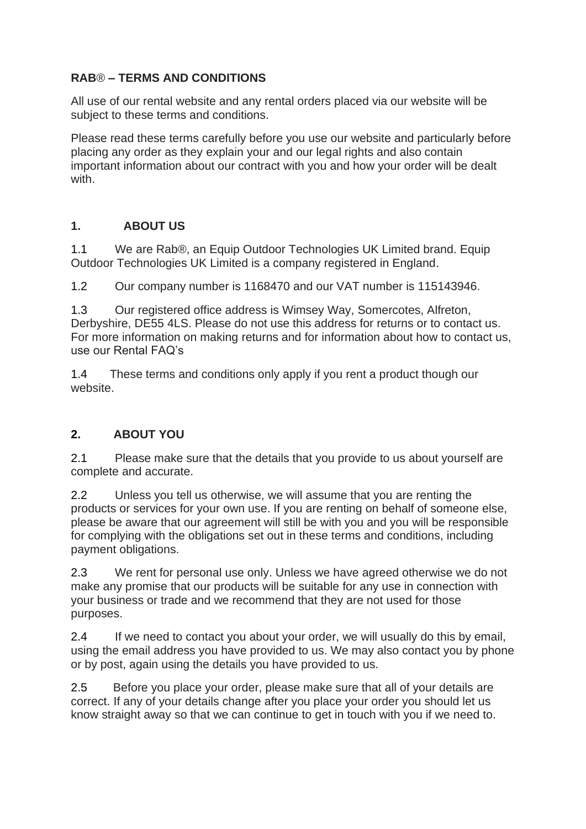#### **RAB**® **– TERMS AND CONDITIONS**

All use of our rental website and any rental orders placed via our website will be subject to these terms and conditions.

Please read these terms carefully before you use our website and particularly before placing any order as they explain your and our legal rights and also contain important information about our contract with you and how your order will be dealt with.

#### **1. ABOUT US**

1.1 We are Rab®, an Equip Outdoor Technologies UK Limited brand. Equip Outdoor Technologies UK Limited is a company registered in England.

1.2 Our company number is 1168470 and our VAT number is 115143946.

1.3 Our registered office address is Wimsey Way, Somercotes, Alfreton, Derbyshire, DE55 4LS. Please do not use this address for returns or to contact us. For more information on making returns and for information about how to contact us, use our Rental FAQ's

1.4 These terms and conditions only apply if you rent a product though our website.

### **2. ABOUT YOU**

2.1 Please make sure that the details that you provide to us about yourself are complete and accurate.

2.2 Unless you tell us otherwise, we will assume that you are renting the products or services for your own use. If you are renting on behalf of someone else, please be aware that our agreement will still be with you and you will be responsible for complying with the obligations set out in these terms and conditions, including payment obligations.

2.3 We rent for personal use only. Unless we have agreed otherwise we do not make any promise that our products will be suitable for any use in connection with your business or trade and we recommend that they are not used for those purposes.

2.4 If we need to contact you about your order, we will usually do this by email, using the email address you have provided to us. We may also contact you by phone or by post, again using the details you have provided to us.

2.5 Before you place your order, please make sure that all of your details are correct. If any of your details change after you place your order you should let us know straight away so that we can continue to get in touch with you if we need to.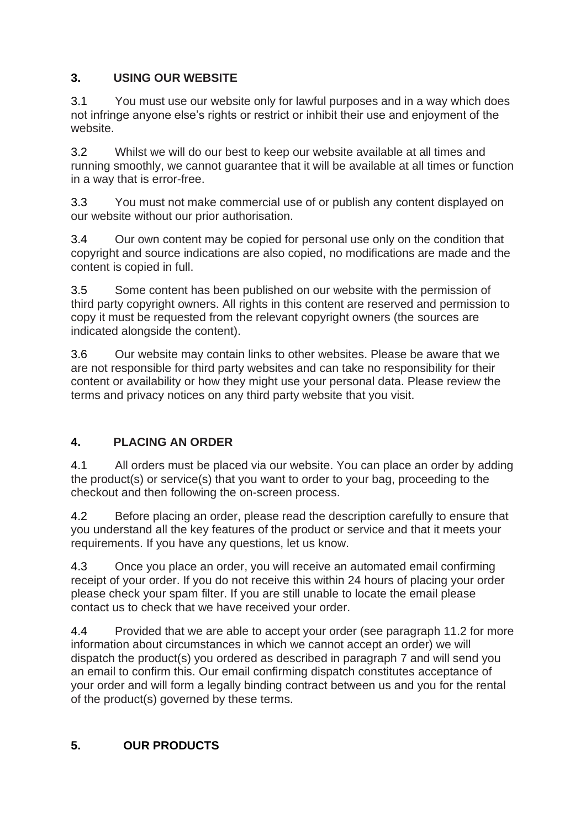# **3. USING OUR WEBSITE**

3.1 You must use our website only for lawful purposes and in a way which does not infringe anyone else's rights or restrict or inhibit their use and enjoyment of the website.

3.2 Whilst we will do our best to keep our website available at all times and running smoothly, we cannot guarantee that it will be available at all times or function in a way that is error-free.

3.3 You must not make commercial use of or publish any content displayed on our website without our prior authorisation.

3.4 Our own content may be copied for personal use only on the condition that copyright and source indications are also copied, no modifications are made and the content is copied in full.

3.5 Some content has been published on our website with the permission of third party copyright owners. All rights in this content are reserved and permission to copy it must be requested from the relevant copyright owners (the sources are indicated alongside the content).

3.6 Our website may contain links to other websites. Please be aware that we are not responsible for third party websites and can take no responsibility for their content or availability or how they might use your personal data. Please review the terms and privacy notices on any third party website that you visit.

# **4. PLACING AN ORDER**

4.1 All orders must be placed via our website. You can place an order by adding the product(s) or service(s) that you want to order to your bag, proceeding to the checkout and then following the on-screen process.

4.2 Before placing an order, please read the description carefully to ensure that you understand all the key features of the product or service and that it meets your requirements. If you have any questions, let us know.

4.3 Once you place an order, you will receive an automated email confirming receipt of your order. If you do not receive this within 24 hours of placing your order please check your spam filter. If you are still unable to locate the email please contact us to check that we have received your order.

4.4 Provided that we are able to accept your order (see paragraph 11.2 for more information about circumstances in which we cannot accept an order) we will dispatch the product(s) you ordered as described in paragraph 7 and will send you an email to confirm this. Our email confirming dispatch constitutes acceptance of your order and will form a legally binding contract between us and you for the rental of the product(s) governed by these terms.

# **5. OUR PRODUCTS**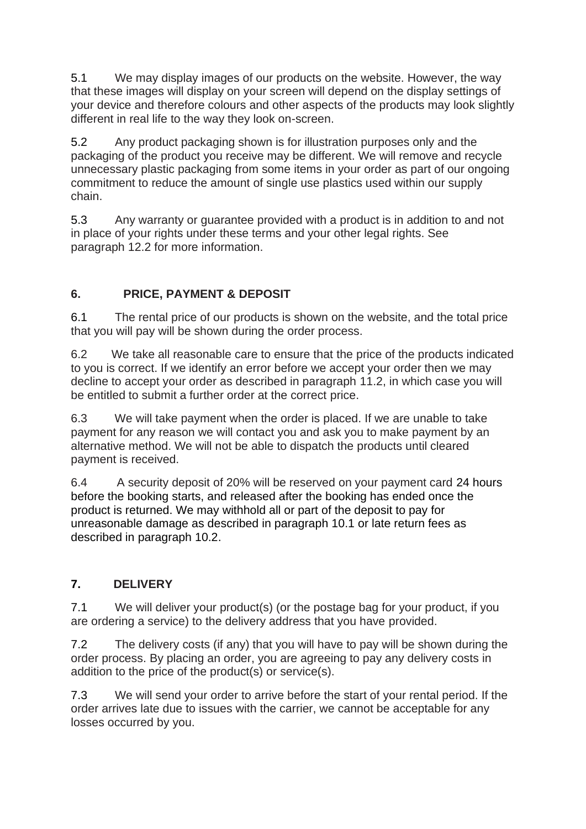5.1 We may display images of our products on the website. However, the way that these images will display on your screen will depend on the display settings of your device and therefore colours and other aspects of the products may look slightly different in real life to the way they look on-screen.

5.2 Any product packaging shown is for illustration purposes only and the packaging of the product you receive may be different. We will remove and recycle unnecessary plastic packaging from some items in your order as part of our ongoing commitment to reduce the amount of single use plastics used within our supply chain.

5.3 Any warranty or guarantee provided with a product is in addition to and not in place of your rights under these terms and your other legal rights. See paragraph 12.2 for more information.

# **6. PRICE, PAYMENT & DEPOSIT**

6.1 The rental price of our products is shown on the website, and the total price that you will pay will be shown during the order process.

6.2 We take all reasonable care to ensure that the price of the products indicated to you is correct. If we identify an error before we accept your order then we may decline to accept your order as described in paragraph 11.2, in which case you will be entitled to submit a further order at the correct price.

6.3 We will take payment when the order is placed. If we are unable to take payment for any reason we will contact you and ask you to make payment by an alternative method. We will not be able to dispatch the products until cleared payment is received.

6.4 A security deposit of 20% will be reserved on your payment card 24 hours before the booking starts, and released after the booking has ended once the product is returned. We may withhold all or part of the deposit to pay for unreasonable damage as described in paragraph 10.1 or late return fees as described in paragraph 10.2.

### **7. DELIVERY**

7.1 We will deliver your product(s) (or the postage bag for your product, if you are ordering a service) to the delivery address that you have provided.

7.2 The delivery costs (if any) that you will have to pay will be shown during the order process. By placing an order, you are agreeing to pay any delivery costs in addition to the price of the product(s) or service(s).

7.3 We will send your order to arrive before the start of your rental period. If the order arrives late due to issues with the carrier, we cannot be acceptable for any losses occurred by you.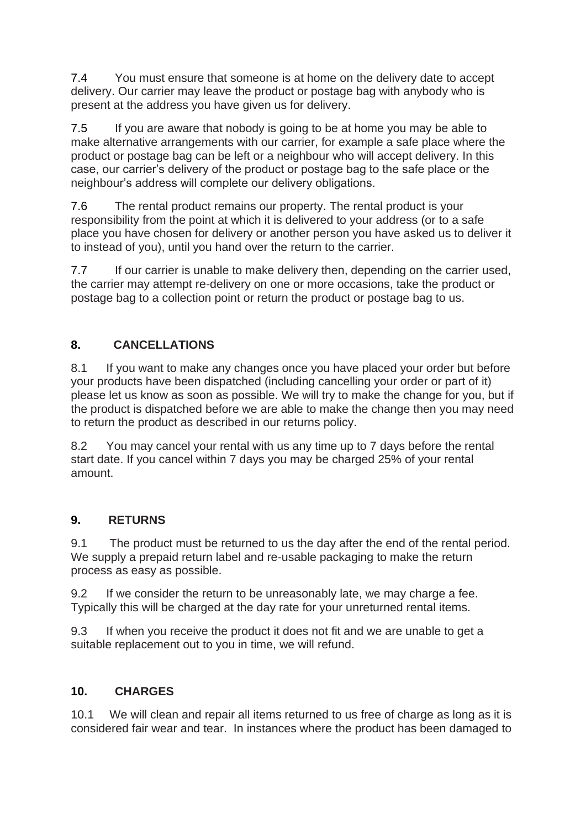7.4 You must ensure that someone is at home on the delivery date to accept delivery. Our carrier may leave the product or postage bag with anybody who is present at the address you have given us for delivery.

7.5 If you are aware that nobody is going to be at home you may be able to make alternative arrangements with our carrier, for example a safe place where the product or postage bag can be left or a neighbour who will accept delivery. In this case, our carrier's delivery of the product or postage bag to the safe place or the neighbour's address will complete our delivery obligations.

7.6 The rental product remains our property. The rental product is your responsibility from the point at which it is delivered to your address (or to a safe place you have chosen for delivery or another person you have asked us to deliver it to instead of you), until you hand over the return to the carrier.

7.7 If our carrier is unable to make delivery then, depending on the carrier used, the carrier may attempt re-delivery on one or more occasions, take the product or postage bag to a collection point or return the product or postage bag to us.

# **8. CANCELLATIONS**

8.1 If you want to make any changes once you have placed your order but before your products have been dispatched (including cancelling your order or part of it) please let us know as soon as possible. We will try to make the change for you, but if the product is dispatched before we are able to make the change then you may need to return the product as described in our returns policy.

8.2 You may cancel your rental with us any time up to 7 days before the rental start date. If you cancel within 7 days you may be charged 25% of your rental amount.

### **9. RETURNS**

9.1 The product must be returned to us the day after the end of the rental period. We supply a prepaid return label and re-usable packaging to make the return process as easy as possible.

9.2 If we consider the return to be unreasonably late, we may charge a fee. Typically this will be charged at the day rate for your unreturned rental items.

9.3 If when you receive the product it does not fit and we are unable to get a suitable replacement out to you in time, we will refund.

### **10. CHARGES**

10.1 We will clean and repair all items returned to us free of charge as long as it is considered fair wear and tear. In instances where the product has been damaged to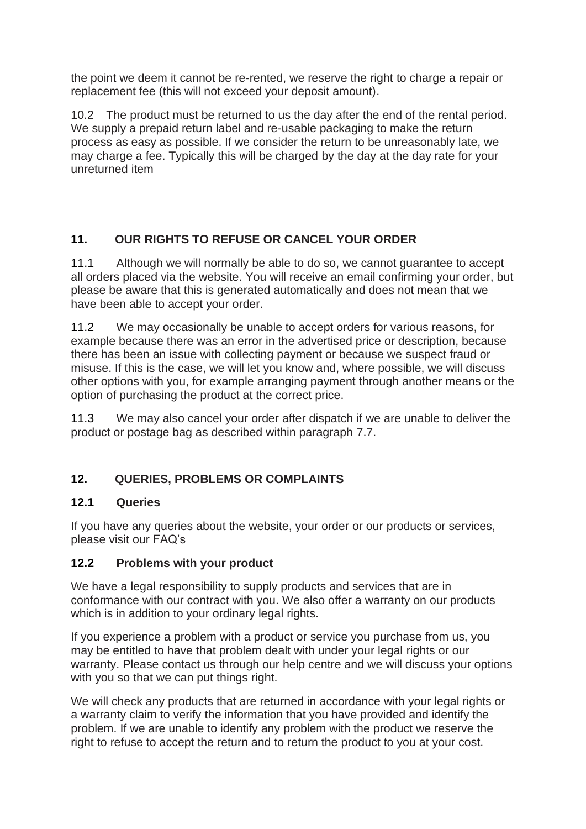the point we deem it cannot be re-rented, we reserve the right to charge a repair or replacement fee (this will not exceed your deposit amount).

10.2 The product must be returned to us the day after the end of the rental period. We supply a prepaid return label and re-usable packaging to make the return process as easy as possible. If we consider the return to be unreasonably late, we may charge a fee. Typically this will be charged by the day at the day rate for your unreturned item

# **11. OUR RIGHTS TO REFUSE OR CANCEL YOUR ORDER**

11.1 Although we will normally be able to do so, we cannot guarantee to accept all orders placed via the website. You will receive an email confirming your order, but please be aware that this is generated automatically and does not mean that we have been able to accept your order.

11.2 We may occasionally be unable to accept orders for various reasons, for example because there was an error in the advertised price or description, because there has been an issue with collecting payment or because we suspect fraud or misuse. If this is the case, we will let you know and, where possible, we will discuss other options with you, for example arranging payment through another means or the option of purchasing the product at the correct price.

11.3 We may also cancel your order after dispatch if we are unable to deliver the product or postage bag as described within paragraph 7.7.

### **12. QUERIES, PROBLEMS OR COMPLAINTS**

#### **12.1 Queries**

If you have any queries about the website, your order or our products or services, please visit our FAQ's

#### **12.2 Problems with your product**

We have a legal responsibility to supply products and services that are in conformance with our contract with you. We also offer a warranty on our products which is in addition to your ordinary legal rights.

If you experience a problem with a product or service you purchase from us, you may be entitled to have that problem dealt with under your legal rights or our warranty. Please contact us through our help centre and we will discuss your options with you so that we can put things right.

We will check any products that are returned in accordance with your legal rights or a warranty claim to verify the information that you have provided and identify the problem. If we are unable to identify any problem with the product we reserve the right to refuse to accept the return and to return the product to you at your cost.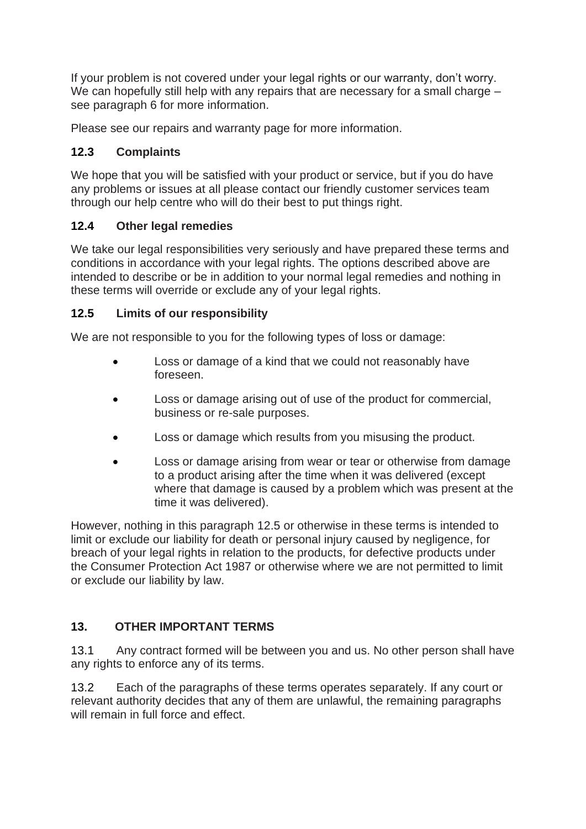If your problem is not covered under your legal rights or our warranty, don't worry. We can hopefully still help with any repairs that are necessary for a small charge – see paragraph 6 for more information.

Please see our repairs and warranty page for more information.

### **12.3 Complaints**

We hope that you will be satisfied with your product or service, but if you do have any problems or issues at all please contact our friendly customer services team through our help centre who will do their best to put things right.

#### **12.4 Other legal remedies**

We take our legal responsibilities very seriously and have prepared these terms and conditions in accordance with your legal rights. The options described above are intended to describe or be in addition to your normal legal remedies and nothing in these terms will override or exclude any of your legal rights.

#### **12.5 Limits of our responsibility**

We are not responsible to you for the following types of loss or damage:

- Loss or damage of a kind that we could not reasonably have foreseen.
- Loss or damage arising out of use of the product for commercial, business or re-sale purposes.
- Loss or damage which results from you misusing the product.
- Loss or damage arising from wear or tear or otherwise from damage to a product arising after the time when it was delivered (except where that damage is caused by a problem which was present at the time it was delivered).

However, nothing in this paragraph 12.5 or otherwise in these terms is intended to limit or exclude our liability for death or personal injury caused by negligence, for breach of your legal rights in relation to the products, for defective products under the Consumer Protection Act 1987 or otherwise where we are not permitted to limit or exclude our liability by law.

### **13. OTHER IMPORTANT TERMS**

13.1 Any contract formed will be between you and us. No other person shall have any rights to enforce any of its terms.

13.2 Each of the paragraphs of these terms operates separately. If any court or relevant authority decides that any of them are unlawful, the remaining paragraphs will remain in full force and effect.